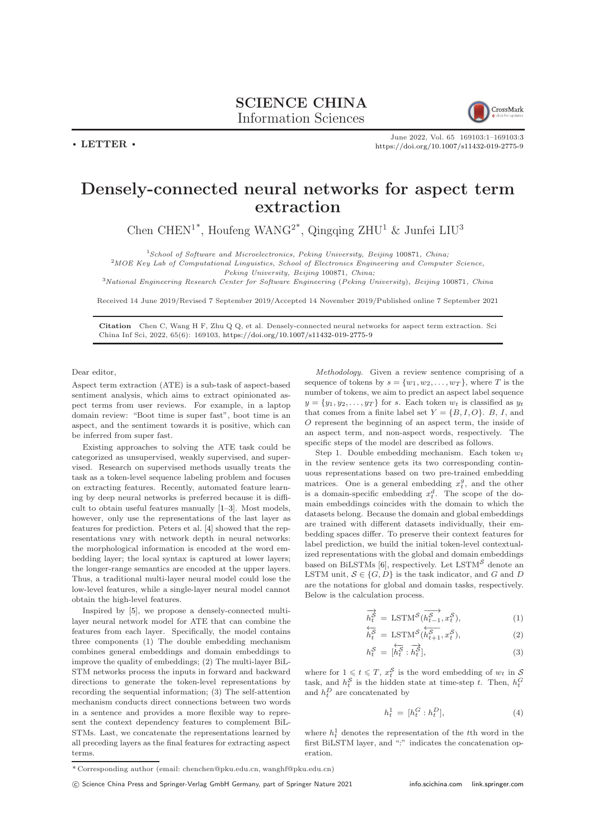



June 2022, Vol. 65 169103:1–169103[:3](#page-2-0) <https://doi.org/10.1007/s11432-019-2775-9>

## Densely-connected neural networks for aspect term extraction

Chen CHEN<sup>1\*</sup>, Houfeng WANG<sup>2\*</sup>, Qingqing ZHU<sup>1</sup> & Junfei LIU<sup>3</sup>

<sup>1</sup>School of Software and Microelectronics, Peking University, Beijing 100871, China;

<sup>2</sup>MOE Key Lab of Computational Linguistics, School of Electronics Engineering and Computer Science,

Peking University, Beijing 100871, China;

<sup>3</sup>National Engineering Research Center for Software Engineering (Peking University), Beijing 100871, China

Received 14 June 2019/Revised 7 September 2019/Accepted 14 November 2019/Published online 7 September 2021

Citation Chen C, Wang H F, Zhu Q Q, et al. Densely-connected neural networks for aspect term extraction. Sci China Inf Sci, 2022, 65(6): 169103, <https://doi.org/10.1007/s11432-019-2775-9>

Dear editor,

Aspect term extraction (ATE) is a sub-task of aspect-based sentiment analysis, which aims to extract opinionated aspect terms from user reviews. For example, in a laptop domain review: "Boot time is super fast", boot time is an aspect, and the sentiment towards it is positive, which can be inferred from super fast.

Existing approaches to solving the ATE task could be categorized as unsupervised, weakly supervised, and supervised. Research on supervised methods usually treats the task as a token-level sequence labeling problem and focuses on extracting features. Recently, automated feature learning by deep neural networks is preferred because it is difficult to obtain useful features manually [\[1](#page-2-1)[–3\]](#page-2-2). Most models, however, only use the representations of the last layer as features for prediction. Peters et al. [\[4\]](#page-2-3) showed that the representations vary with network depth in neural networks: the morphological information is encoded at the word embedding layer; the local syntax is captured at lower layers; the longer-range semantics are encoded at the upper layers. Thus, a traditional multi-layer neural model could lose the low-level features, while a single-layer neural model cannot obtain the high-level features.

Inspired by [\[5\]](#page-2-4), we propose a densely-connected multilayer neural network model for ATE that can combine the features from each layer. Specifically, the model contains three components (1) The double embedding mechanism combines general embeddings and domain embeddings to improve the quality of embeddings; (2) The multi-layer BiL-STM networks process the inputs in forward and backward directions to generate the token-level representations by recording the sequential information; (3) The self-attention mechanism conducts direct connections between two words in a sentence and provides a more flexible way to represent the context dependency features to complement BiL-STMs. Last, we concatenate the representations learned by all preceding layers as the final features for extracting aspect terms.

Methodology. Given a review sentence comprising of a sequence of tokens by  $s = \{w_1, w_2, \ldots, w_T\}$ , where T is the number of tokens, we aim to predict an aspect label sequence  $y = \{y_1, y_2, \dots, y_T\}$  for s. Each token  $w_t$  is classified as  $y_t$ that comes from a finite label set  $Y = \{B, I, O\}$ . B, I, and O represent the beginning of an aspect term, the inside of an aspect term, and non-aspect words, respectively. The specific steps of the model are described as follows.

Step 1. Double embedding mechanism. Each token  $w_t$ in the review sentence gets its two corresponding continuous representations based on two pre-trained embedding matrices. One is a general embedding  $x_t^g$ , and the other is a domain-specific embedding  $x_t^d$ . The scope of the domain embeddings coincides with the domain to which the datasets belong. Because the domain and global embeddings are trained with different datasets individually, their embedding spaces differ. To preserve their context features for label prediction, we build the initial token-level contextualized representations with the global and domain embeddings based on BiLSTMs [\[6\]](#page-2-5), respectively. Let  $\operatorname{LSTM}^{\mathcal{S}}$  denote an LSTM unit,  $S \in \{G, D\}$  is the task indicator, and G and D are the notations for global and domain tasks, respectively. Below is the calculation process.

$$
\overrightarrow{h_t^S} = \text{LSTM}^S(\overrightarrow{h_{t-1}^S}, x_t^S),\tag{1}
$$

$$
\overleftarrow{h_t^S} = \text{LSTM}^S(\overleftarrow{h_{t+1}^S}, x_t^S),\tag{2}
$$

$$
h_t^{\mathcal{S}} = [\overleftarrow{h_t^{\mathcal{S}}} : \overrightarrow{h_t^{\mathcal{S}}}], \tag{3}
$$

where for  $1 \leq t \leq T$ ,  $x_t^{\mathcal{S}}$  is the word embedding of  $w_t$  in  $\mathcal{S}$ task, and  $h_t^{\mathcal{S}}$  is the hidden state at time-step t. Then,  $h_t^G$ and  $h_t^D$  are concatenated by

$$
h_t^1 = [h_t^G : h_t^D], \tag{4}
$$

where  $h_t^1$  denotes the representation of the t<sup>th</sup> word in the first BiLSTM layer, and ":" indicates the concatenation operation.

<sup>\*</sup> Corresponding author (email: chenchen@pku.edu.cn, wanghf@pku.edu.cn)

c Science China Press and Springer-Verlag GmbH Germany, part of Springer Nature 2021 <info.scichina.com><link.springer.com>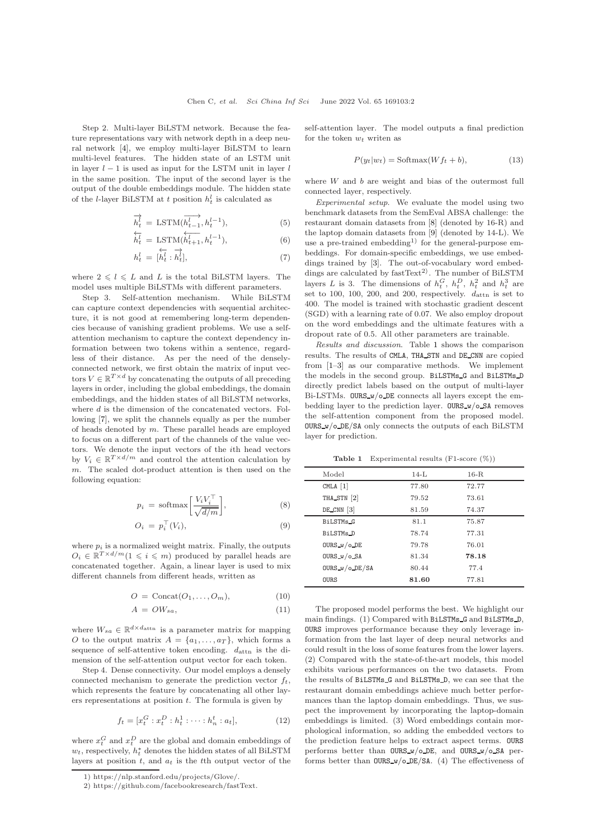Step 2. Multi-layer BiLSTM network. Because the feature representations vary with network depth in a deep neural network [\[4\]](#page-2-3), we employ multi-layer BiLSTM to learn multi-level features. The hidden state of an LSTM unit in layer  $l - 1$  is used as input for the LSTM unit in layer  $l$ in the same position. The input of the second layer is the output of the double embeddings module. The hidden state of the *l*-layer BiLSTM at t position  $h_t^l$  is calculated as

$$
\overrightarrow{h_t^l} = \text{LSTM}(\overrightarrow{h_{t-1}^l}, h_t^{l-1}),
$$
\n
$$
\overleftarrow{\cdot} \quad \overleftarrow{\cdot} \quad .
$$
\n(5)

$$
\overleftarrow{h_t^l} = \text{LSTM}(\overleftarrow{h_{t+1}^l}, h_t^{l-1}), \tag{6}
$$

$$
h_t^l = [\overleftarrow{h_t^l} : \overrightarrow{h_t^l}], \tag{7}
$$

where  $2 \leq l \leq L$  and L is the total BiLSTM layers. The model uses multiple BiLSTMs with different parameters.

Step 3. Self-attention mechanism. While BiLSTM can capture context dependencies with sequential architecture, it is not good at remembering long-term dependencies because of vanishing gradient problems. We use a selfattention mechanism to capture the context dependency information between two tokens within a sentence, regardless of their distance. As per the need of the denselyconnected network, we first obtain the matrix of input vectors  $V \in \mathbb{R}^{T \times d}$  by concatenating the outputs of all preceding layers in order, including the global embeddings, the domain embeddings, and the hidden states of all BiLSTM networks, where  $d$  is the dimension of the concatenated vectors. Following [\[7\]](#page-2-6), we split the channels equally as per the number of heads denoted by m. These parallel heads are employed to focus on a different part of the channels of the value vectors. We denote the input vectors of the ith head vectors by  $V_i \in \mathbb{R}^{T \times d/m}$  and control the attention calculation by m. The scaled dot-product attention is then used on the following equation:

$$
p_i = \text{softmax}\left[\frac{V_i V_i^{\top}}{\sqrt{d/m}}\right],\tag{8}
$$

$$
O_i = p_i^{\top}(V_i), \tag{9}
$$

where  $p_i$  is a normalized weight matrix. Finally, the outputs  $O_i \in \mathbb{R}^{T \times d/m} (1 \leqslant i \leqslant m)$  produced by parallel heads are concatenated together. Again, a linear layer is used to mix different channels from different heads, written as

$$
O = \text{Concat}(O_1, \dots, O_m), \tag{10}
$$

$$
A = OW_{sa}, \t\t(11)
$$

where  $W_{sa} \in \mathbb{R}^{d \times d_{\text{attn}}}$  is a parameter matrix for mapping O to the output matrix  $A = \{a_1, \ldots, a_T\}$ , which forms a sequence of self-attentive token encoding.  $d_{\text{attn}}$  is the dimension of the self-attention output vector for each token.

Step 4. Dense connectivity. Our model employs a densely connected mechanism to generate the prediction vector  $f_t$ , which represents the feature by concatenating all other layers representations at position  $t$ . The formula is given by

$$
f_t = [x_t^G : x_t^D : h_t^1 : \dots : h_n^t : a_t],
$$
\n(12)

where  $x_t^G$  and  $x_t^D$  are the global and domain embeddings of  $w_t$ , respectively,  $h_t^*$  denotes the hidden states of all BiLSTM layers at position  $t$ , and  $a_t$  is the tth output vector of the self-attention layer. The model outputs a final prediction for the token  $w_t$  writen as

$$
P(y_t|w_t) = \text{Softmax}(Wf_t + b),\tag{13}
$$

where  $W$  and  $b$  are weight and bias of the outermost full connected layer, respectively.

Experimental setup. We evaluate the model using two benchmark datasets from the SemEval ABSA challenge: the restaurant domain datasets from [\[8\]](#page-2-7) (denoted by 16-R) and the laptop domain datasets from [\[9\]](#page-2-8) (denoted by 14-L). We use a pre-trained embedding<sup>1)</sup> for the general-purpose embeddings. For domain-specific embeddings, we use embeddings trained by [\[3\]](#page-2-2). The out-of-vocabulary word embeddings are calculated by  $fastText^{2)}$ . The number of BiLSTM layers L is 3. The dimensions of  $h_t^G$ ,  $h_t^D$ ,  $h_t^2$  and  $h_t^3$  are set to 100, 100, 200, and 200, respectively.  $d_{\text{attn}}$  is set to 400. The model is trained with stochastic gradient descent (SGD) with a learning rate of 0.07. We also employ dropout on the word embeddings and the ultimate features with a dropout rate of 0.5. All other parameters are trainable.

Results and discussion. Table [1](#page-1-0) shows the comparison results. The results of CMLA, THA STN and DE CNN are copied from [\[1](#page-2-1)[–3\]](#page-2-2) as our comparative methods. We implement the models in the second group. BiLSTMs G and BiLSTMs D directly predict labels based on the output of multi-layer Bi-LSTMs. OURS\_w/o\_DE connects all layers except the embedding layer to the prediction layer. OURS w/o SA removes the self-attention component from the proposed model.  $OURS_w$ /o  $DE/SA$  only connects the outputs of each BiLSTM layer for prediction.

Table 1 Experimental results (F1-score (%))

<span id="page-1-0"></span>

| Model                | $14-I$ | $16-R$ |  |
|----------------------|--------|--------|--|
| CMLA $[1]$           | 77.80  | 72.77  |  |
| THA_STN [2]          | 79.52  | 73.61  |  |
| $DE_CNN$ [3]         | 81.59  | 74.37  |  |
| BiLSTMs <sub>G</sub> | 81.1   | 75.87  |  |
| BiLSTMs_D            | 78.74  | 77.31  |  |
| OURS $w/$ O DE       | 79.78  | 76.01  |  |
| OURS $w / o$ SA      | 81.34  | 78.18  |  |
| OURS $w / o$ DE/SA   | 80.44  | 77.4   |  |
| <b>OURS</b>          | 81.60  | 77.81  |  |

The proposed model performs the best. We highlight our main findings. (1) Compared with BiLSTMs G and BiLSTMs D, OURS improves performance because they only leverage information from the last layer of deep neural networks and could result in the loss of some features from the lower layers. (2) Compared with the state-of-the-art models, this model exhibits various performances on the two datasets. From the results of BiLSTMs G and BiLSTMs D, we can see that the restaurant domain embeddings achieve much better performances than the laptop domain embeddings. Thus, we suspect the improvement by incorporating the laptop-domain embeddings is limited. (3) Word embeddings contain morphological information, so adding the embedded vectors to the prediction feature helps to extract aspect terms. OURS performs better than OURS w/o DE, and OURS w/o SA performs better than OURS w/o DE/SA. (4) The effectiveness of

<sup>1)</sup> https://nlp.stanford.edu/projects/Glove/.

<sup>2)</sup> https://github.com/facebookresearch/fastText.